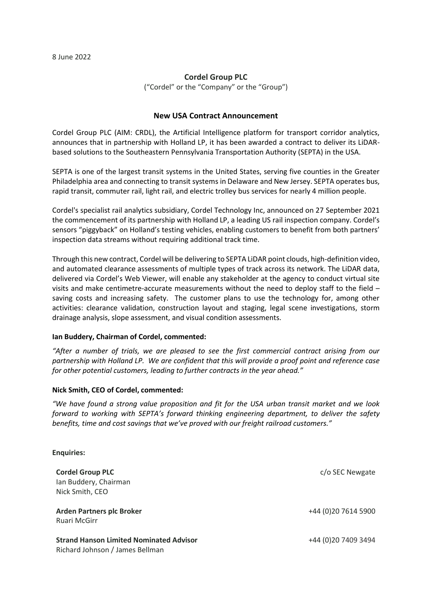# **Cordel Group PLC**

("Cordel" or the "Company" or the "Group")

# **New USA Contract Announcement**

Cordel Group PLC (AIM: CRDL), the Artificial Intelligence platform for transport corridor analytics, announces that in partnership with Holland LP, it has been awarded a contract to deliver its LiDARbased solutions to the Southeastern Pennsylvania Transportation Authority (SEPTA) in the USA.

SEPTA is one of the largest transit systems in the United States, serving five counties in the Greater Philadelphia area and connecting to transit systems in Delaware and New Jersey. SEPTA operates bus, rapid transit, commuter rail, light rail, and electric trolley bus services for nearly 4 million people.

Cordel's specialist rail analytics subsidiary, Cordel Technology Inc, announced on 27 September 2021 the commencement of its partnership with Holland LP, a leading US rail inspection company. Cordel's sensors "piggyback" on Holland's testing vehicles, enabling customers to benefit from both partners' inspection data streams without requiring additional track time.

Through this new contract, Cordel will be delivering to SEPTA LiDAR point clouds, high-definition video, and automated clearance assessments of multiple types of track across its network. The LiDAR data, delivered via Cordel's Web Viewer, will enable any stakeholder at the agency to conduct virtual site visits and make centimetre-accurate measurements without the need to deploy staff to the field – saving costs and increasing safety. The customer plans to use the technology for, among other activities: clearance validation, construction layout and staging, legal scene investigations, storm drainage analysis, slope assessment, and visual condition assessments.

#### **Ian Buddery, Chairman of Cordel, commented:**

*"After a number of trials, we are pleased to see the first commercial contract arising from our partnership with Holland LP. We are confident that this will provide a proof point and reference case for other potential customers, leading to further contracts in the year ahead."*

#### **Nick Smith, CEO of Cordel, commented:**

*"We have found a strong value proposition and fit for the USA urban transit market and we look forward to working with SEPTA's forward thinking engineering department, to deliver the safety benefits, time and cost savings that we've proved with our freight railroad customers."*

#### **Enquiries:**

| <b>Cordel Group PLC</b><br>Ian Buddery, Chairman<br>Nick Smith, CEO               | c/o SEC Newgate      |
|-----------------------------------------------------------------------------------|----------------------|
| <b>Arden Partners plc Broker</b><br>Ruari McGirr                                  | +44 (0) 20 7614 5900 |
| <b>Strand Hanson Limited Nominated Advisor</b><br>Richard Johnson / James Bellman | +44 (0) 20 7409 3494 |